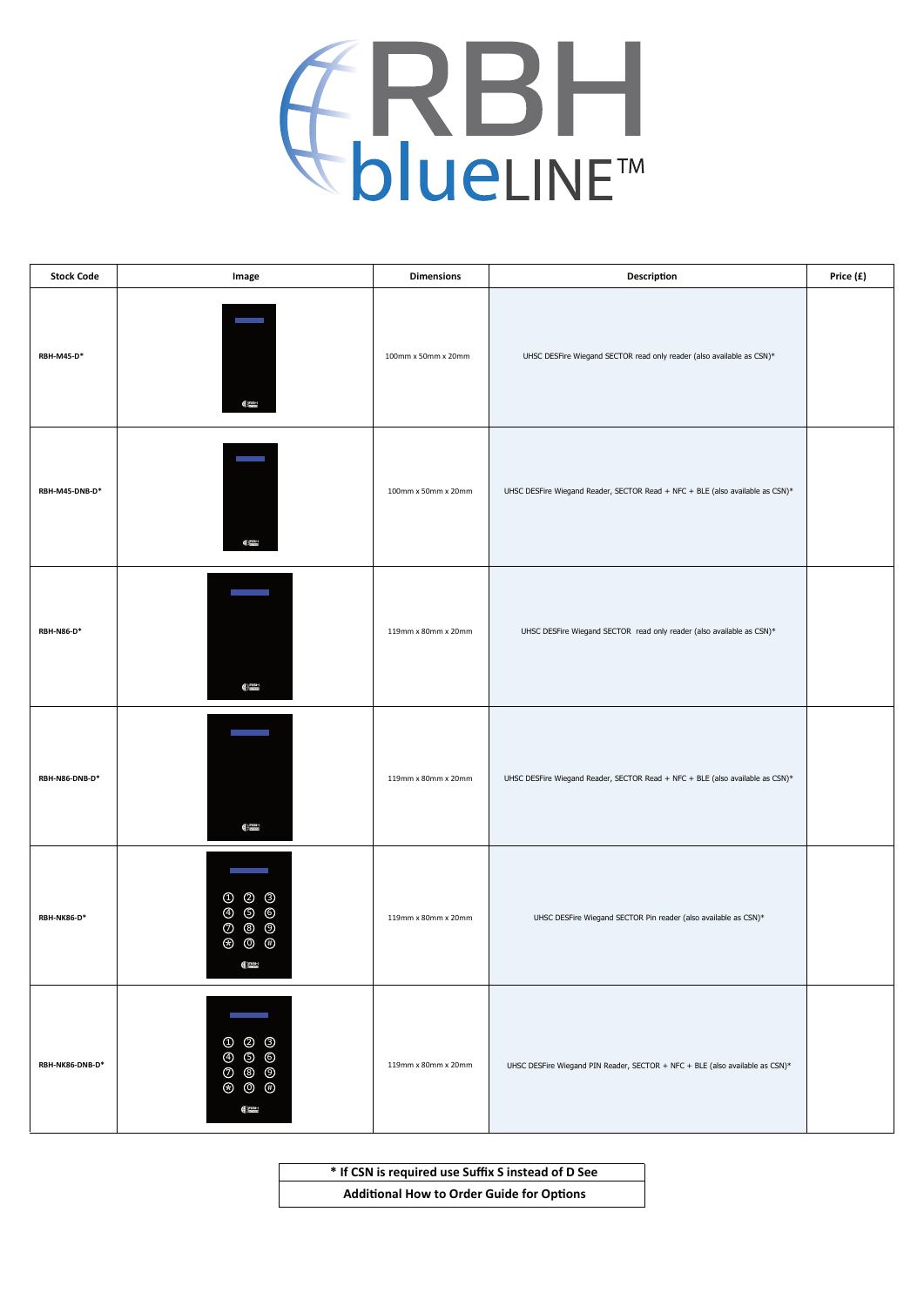

| <b>Stock Code</b> | Image                                                                                                                                                                                              | <b>Dimensions</b>   | Description                                                                   | Price (£) |
|-------------------|----------------------------------------------------------------------------------------------------------------------------------------------------------------------------------------------------|---------------------|-------------------------------------------------------------------------------|-----------|
| <b>RBH-M45-D*</b> | C <sub>2001</sub>                                                                                                                                                                                  | 100mm x 50mm x 20mm | UHSC DESFire Wiegand SECTOR read only reader (also available as CSN)*         |           |
| RBH-M45-DNB-D*    | $\bigoplus_{\text{even}}^{\text{RBM}}$                                                                                                                                                             | 100mm x 50mm x 20mm | UHSC DESFire Wiegand Reader, SECTOR Read + NFC + BLE (also available as CSN)* |           |
| $RBH-NS6-D*$      | $\bigoplus_{\text{DSEED}}^{\text{BDBM}}$                                                                                                                                                           | 119mm x 80mm x 20mm | UHSC DESFire Wiegand SECTOR read only reader (also available as CSN)*         |           |
| RBH-N86-DNB-D*    | <b>Contract Contract</b><br>$\bigoplus_{n=1}^{\text{RBM}}$                                                                                                                                         | 119mm x 80mm x 20mm | UHSC DESFire Wiegand Reader, SECTOR Read + NFC + BLE (also available as CSN)* |           |
| RBH-NK86-D*       | m.<br>$\begin{matrix} 0 & 0 & 0 \end{matrix}$<br>4 5 6<br>$O$ $O$ $O$<br>$\circledast$ $\circledast$ $\circledast$<br>$\bigoplus_{n=1}^{\infty}$                                                   | 119mm x 80mm x 20mm | UHSC DESFire Wiegand SECTOR Pin reader (also available as CSN)*               |           |
| RBH-NK86-DNB-D*   | $\circled{1}$ $\circled{2}$ $\circled{3}$<br>$\odot$ $\odot$ $\odot$<br>$O$ $\circledcirc$ $O$<br>$\circledast \hspace{.15cm} \circledast \hspace{.15cm} \circledast$<br>$\bigoplus_{\text{norm}}$ | 119mm x 80mm x 20mm | UHSC DESFire Wiegand PIN Reader, SECTOR + NFC + BLE (also available as CSN)*  |           |

**\* If CSN is required use Suffix S instead of D See Additional How to Order Guide for Options**